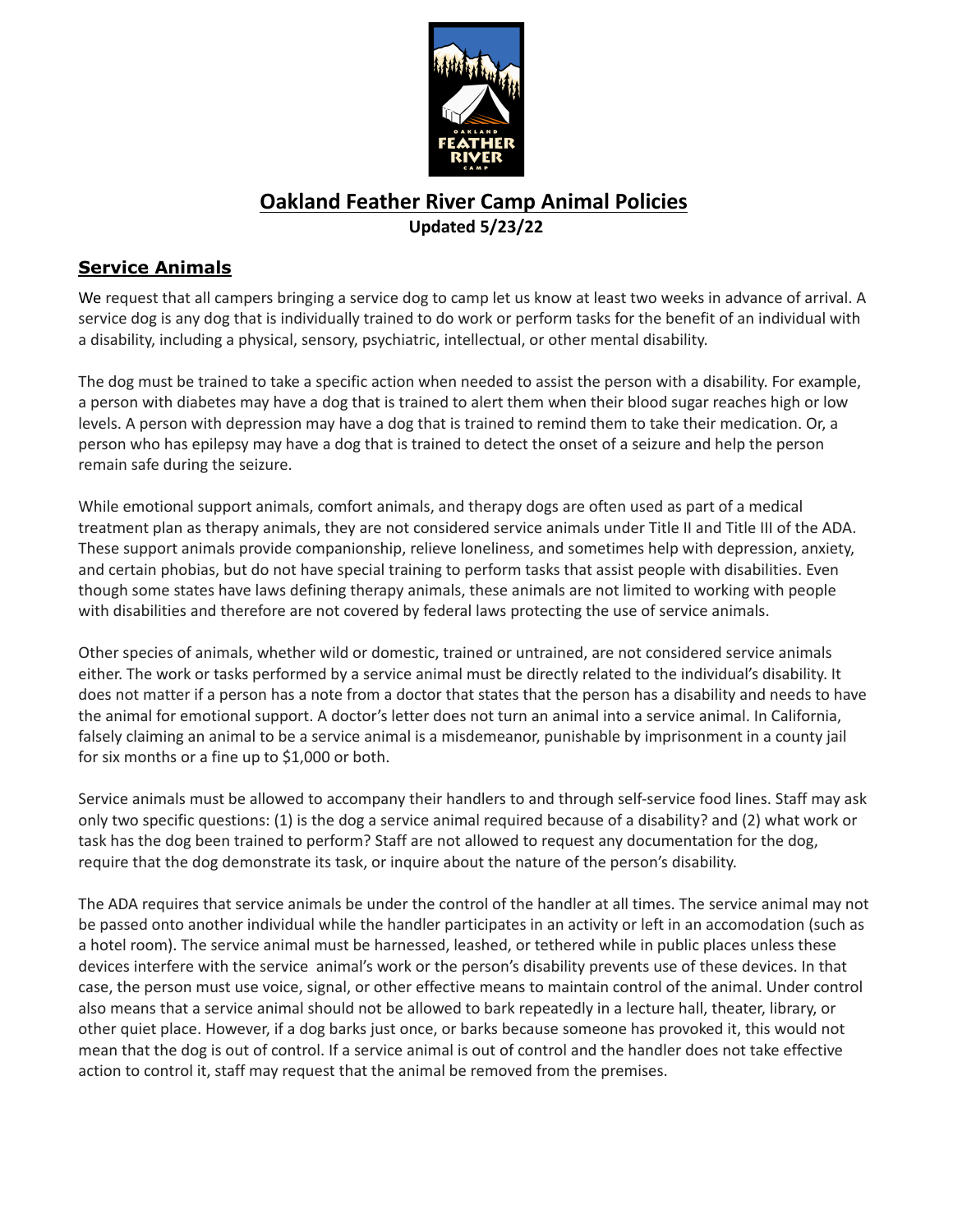

## **Oakland Feather River Camp Animal Policies Updated 5/23/22**

## **Service Animals**

We request that all campers bringing a service dog to camp let us know at least two weeks in advance of arrival. A service dog is any dog that is individually trained to do work or perform tasks for the benefit of an individual with a disability, including a physical, sensory, psychiatric, intellectual, or other mental disability.

The dog must be trained to take a specific action when needed to assist the person with a disability. For example, a person with diabetes may have a dog that is trained to alert them when their blood sugar reaches high or low levels. A person with depression may have a dog that is trained to remind them to take their medication. Or, a person who has epilepsy may have a dog that is trained to detect the onset of a seizure and help the person remain safe during the seizure.

While emotional support animals, comfort animals, and therapy dogs are often used as part of a medical treatment plan as therapy animals, they are not considered service animals under Title II and Title III of the ADA. These support animals provide companionship, relieve loneliness, and sometimes help with depression, anxiety, and certain phobias, but do not have special training to perform tasks that assist people with disabilities. Even though some states have laws defining therapy animals, these animals are not limited to working with people with disabilities and therefore are not covered by federal laws protecting the use of service animals.

Other species of animals, whether wild or domestic, trained or untrained, are not considered service animals either. The work or tasks performed by a service animal must be directly related to the individual's disability. It does not matter if a person has a note from a doctor that states that the person has a disability and needs to have the animal for emotional support. A doctor's letter does not turn an animal into a service animal. In California, falsely claiming an animal to be a service animal is a misdemeanor, punishable by imprisonment in a county jail for six months or a fine up to \$1,000 or both.

Service animals must be allowed to accompany their handlers to and through self-service food lines. Staff may ask only two specific questions: (1) is the dog a service animal required because of a disability? and (2) what work or task has the dog been trained to perform? Staff are not allowed to request any documentation for the dog, require that the dog demonstrate its task, or inquire about the nature of the person's disability.

The ADA requires that service animals be under the control of the handler at all times. The service animal may not be passed onto another individual while the handler participates in an activity or left in an accomodation (such as a hotel room). The service animal must be harnessed, leashed, or tethered while in public places unless these devices interfere with the service animal's work or the person's disability prevents use of these devices. In that case, the person must use voice, signal, or other effective means to maintain control of the animal. Under control also means that a service animal should not be allowed to bark repeatedly in a lecture hall, theater, library, or other quiet place. However, if a dog barks just once, or barks because someone has provoked it, this would not mean that the dog is out of control. If a service animal is out of control and the handler does not take effective action to control it, staff may request that the animal be removed from the premises.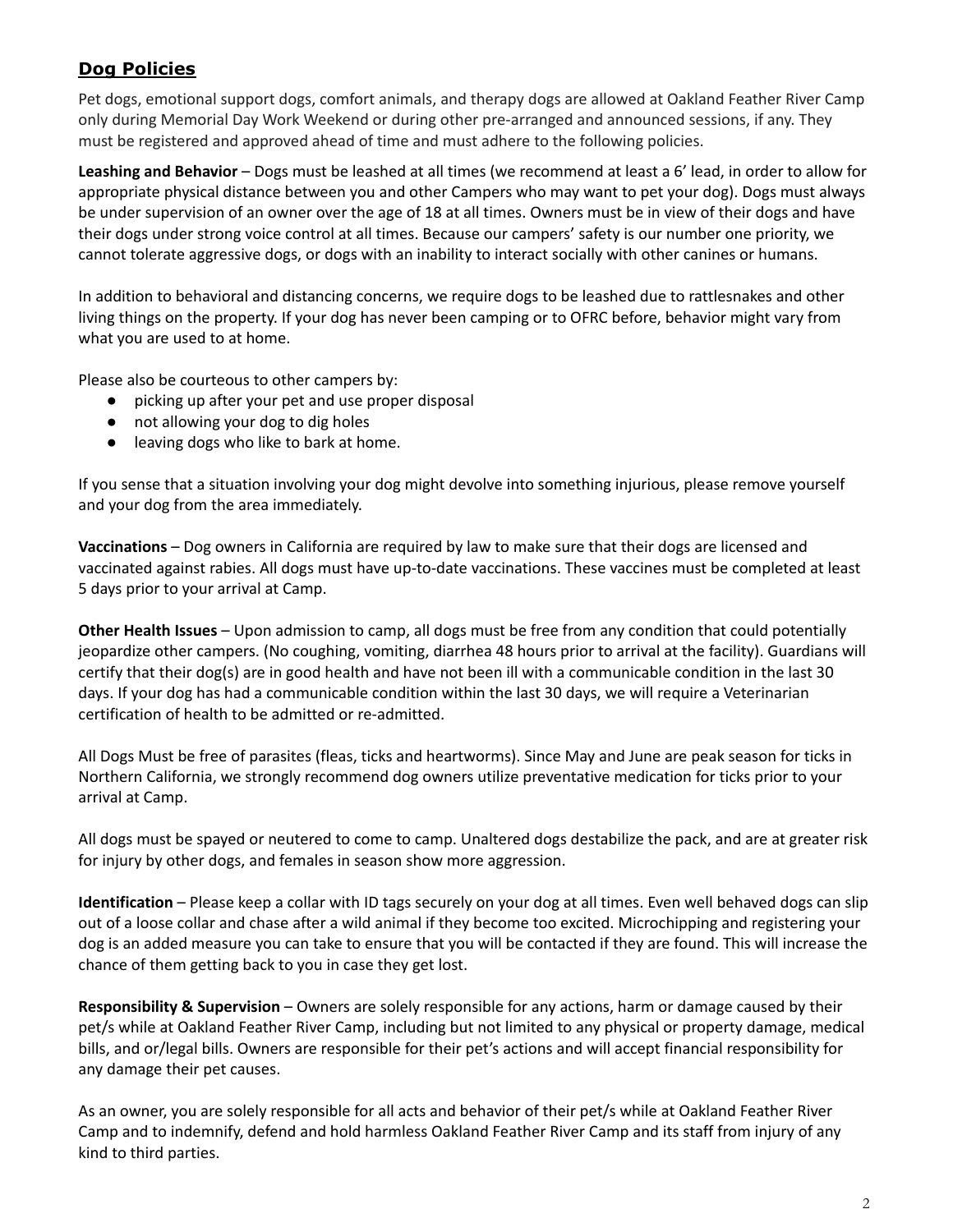## **Dog Policies**

Pet dogs, emotional support dogs, comfort animals, and therapy dogs are allowed at Oakland Feather River Camp only during Memorial Day Work Weekend or during other pre-arranged and announced sessions, if any. They must be registered and approved ahead of time and must adhere to the following policies.

**Leashing and Behavior** – Dogs must be leashed at all times (we recommend at least a 6' lead, in order to allow for appropriate physical distance between you and other Campers who may want to pet your dog). Dogs must always be under supervision of an owner over the age of 18 at all times. Owners must be in view of their dogs and have their dogs under strong voice control at all times. Because our campers' safety is our number one priority, we cannot tolerate aggressive dogs, or dogs with an inability to interact socially with other canines or humans.

In addition to behavioral and distancing concerns, we require dogs to be leashed due to rattlesnakes and other living things on the property. If your dog has never been camping or to OFRC before, behavior might vary from what you are used to at home.

Please also be courteous to other campers by:

- picking up after your pet and use proper disposal
- not allowing your dog to dig holes
- leaving dogs who like to bark at home.

If you sense that a situation involving your dog might devolve into something injurious, please remove yourself and your dog from the area immediately.

**Vaccinations** – Dog owners in California are required by law to make sure that their dogs are licensed and vaccinated against rabies. All dogs must have up-to-date vaccinations. These vaccines must be completed at least 5 days prior to your arrival at Camp.

**Other Health Issues** – Upon admission to camp, all dogs must be free from any condition that could potentially jeopardize other campers. (No coughing, vomiting, diarrhea 48 hours prior to arrival at the facility). Guardians will certify that their dog(s) are in good health and have not been ill with a communicable condition in the last 30 days. If your dog has had a communicable condition within the last 30 days, we will require a Veterinarian certification of health to be admitted or re-admitted.

All Dogs Must be free of parasites (fleas, ticks and heartworms). Since May and June are peak season for ticks in Northern California, we strongly recommend dog owners utilize preventative medication for ticks prior to your arrival at Camp.

All dogs must be spayed or neutered to come to camp. Unaltered dogs destabilize the pack, and are at greater risk for injury by other dogs, and females in season show more aggression.

**Identification** – Please keep a collar with ID tags securely on your dog at all times. Even well behaved dogs can slip out of a loose collar and chase after a wild animal if they become too excited. Microchipping and registering your dog is an added measure you can take to ensure that you will be contacted if they are found. This will increase the chance of them getting back to you in case they get lost.

**Responsibility & Supervision** – Owners are solely responsible for any actions, harm or damage caused by their pet/s while at Oakland Feather River Camp, including but not limited to any physical or property damage, medical bills, and or/legal bills. Owners are responsible for their pet's actions and will accept financial responsibility for any damage their pet causes.

As an owner, you are solely responsible for all acts and behavior of their pet/s while at Oakland Feather River Camp and to indemnify, defend and hold harmless Oakland Feather River Camp and its staff from injury of any kind to third parties.